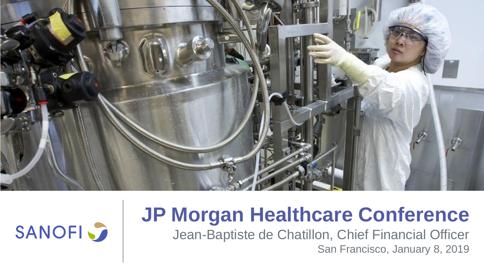



# **JP Morgan Healthcare Conference**

Jean-Baptiste de Chatillon, Chief Financial Officer San Francisco, January 8, 2019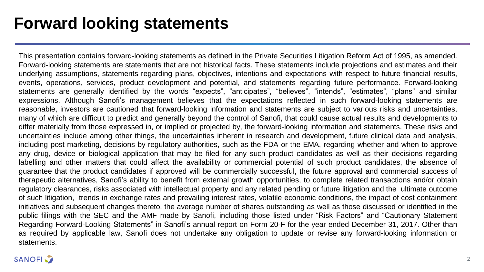### **Forward looking statements**

This presentation contains forward-looking statements as defined in the Private Securities Litigation Reform Act of 1995, as amended. Forward-looking statements are statements that are not historical facts. These statements include projections and estimates and their underlying assumptions, statements regarding plans, objectives, intentions and expectations with respect to future financial results, events, operations, services, product development and potential, and statements regarding future performance. Forward-looking statements are generally identified by the words "expects", "anticipates", "believes", "intends", "estimates", "plans" and similar expressions. Although Sanofi's management believes that the expectations reflected in such forward-looking statements are reasonable, investors are cautioned that forward-looking information and statements are subject to various risks and uncertainties, many of which are difficult to predict and generally beyond the control of Sanofi, that could cause actual results and developments to differ materially from those expressed in, or implied or projected by, the forward-looking information and statements. These risks and uncertainties include among other things, the uncertainties inherent in research and development, future clinical data and analysis, including post marketing, decisions by regulatory authorities, such as the FDA or the EMA, regarding whether and when to approve any drug, device or biological application that may be filed for any such product candidates as well as their decisions regarding labelling and other matters that could affect the availability or commercial potential of such product candidates, the absence of guarantee that the product candidates if approved will be commercially successful, the future approval and commercial success of therapeutic alternatives, Sanofi's ability to benefit from external growth opportunities, to complete related transactions and/or obtain regulatory clearances, risks associated with intellectual property and any related pending or future litigation and the ultimate outcome of such litigation, trends in exchange rates and prevailing interest rates, volatile economic conditions, the impact of cost containment initiatives and subsequent changes thereto, the average number of shares outstanding as well as those discussed or identified in the public filings with the SEC and the AMF made by Sanofi, including those listed under "Risk Factors" and "Cautionary Statement Regarding Forward-Looking Statements" in Sanofi's annual report on Form 20-F for the year ended December 31, 2017. Other than as required by applicable law, Sanofi does not undertake any obligation to update or revise any forward-looking information or statements.

#### **SANOFI**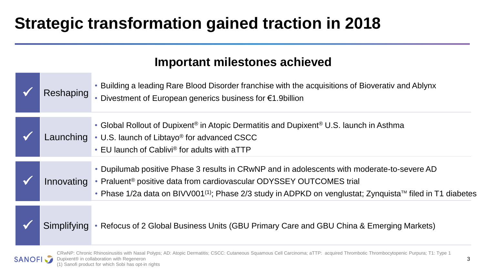## **Strategic transformation gained traction in 2018**

### **Important milestones achieved**

| Reshaping   | Building a leading Rare Blood Disorder franchise with the acquisitions of Bioverativ and Ablynx<br>• Divestment of European generics business for $€1.9$ billion                                                                                                                                                     |
|-------------|----------------------------------------------------------------------------------------------------------------------------------------------------------------------------------------------------------------------------------------------------------------------------------------------------------------------|
|             | • Global Rollout of Dupixent <sup>®</sup> in Atopic Dermatitis and Dupixent <sup>®</sup> U.S. launch in Asthma<br>Launching • U.S. launch of Libtayo <sup>®</sup> for advanced CSCC<br>• EU launch of Cablivi® for adults with aTTP                                                                                  |
| Innovating  | • Dupilumab positive Phase 3 results in CRwNP and in adolescents with moderate-to-severe AD<br>• Praluent <sup>®</sup> positive data from cardiovascular ODYSSEY OUTCOMES trial<br>• Phase 1/2a data on BIVV001 <sup>(1)</sup> ; Phase 2/3 study in ADPKD on venglustat; Zynquista <sup>™</sup> filed in T1 diabetes |
| Simplifying | • Refocus of 2 Global Business Units (GBU Primary Care and GBU China & Emerging Markets)                                                                                                                                                                                                                             |



CRwNP: Chronic Rhinosinusitis with Nasal Polyps; AD: Atopic Dermatitis; CSCC: Cutaneous Squamous Cell Carcinoma; aTTP: acquired Thrombotic Thrombocytopenic Purpura; T1: Type 1 Dupixent® in collaboration with Regeneron (1) Sanofi product for which Sobi has opt-in rights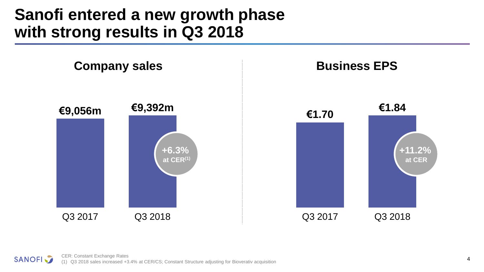### **Sanofi entered a new growth phase with strong results in Q3 2018**

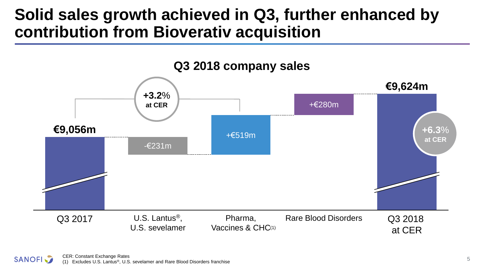### **Solid sales growth achieved in Q3, further enhanced by contribution from Bioverativ acquisition**



CER: Constant Exchange Rates (1) Excludes U.S. Lantus®, U.S. sevelamer and Rare Blood Disorders franchise

**SANOFI**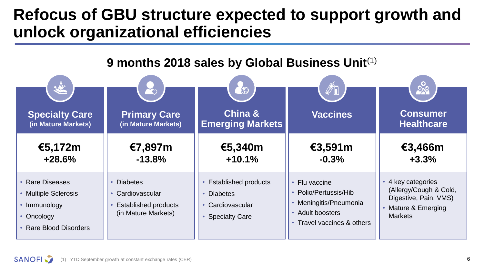### **Refocus of GBU structure expected to support growth and unlock organizational efficiencies**

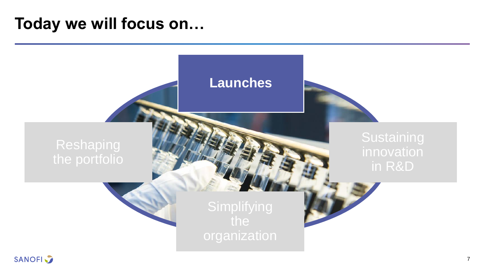### **Today we will focus on…**

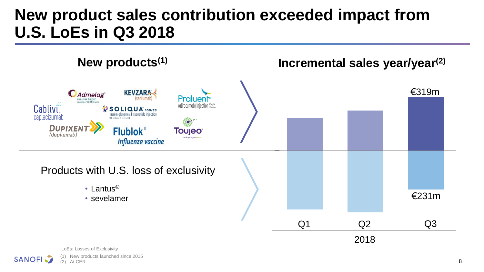### **New product sales contribution exceeded impact from U.S. LoEs in Q3 2018**



**SANOFI**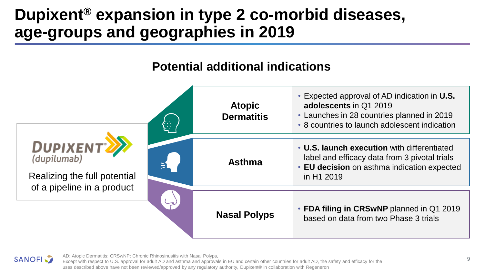## **Dupixent® expansion in type 2 co-morbid diseases, age-groups and geographies in 2019**

### **Potential additional indications**





AD: Atopic Dermatitis; CRSwNP: Chronic Rhinosinusitis with Nasal Polyps,

Except with respect to U.S. approval for adult AD and asthma and approvals in EU and certain other countries for adult AD, the safety and efficacy for the uses described above have not been reviewed/approved by any regulatory authority, Dupixent® in collaboration with Regeneron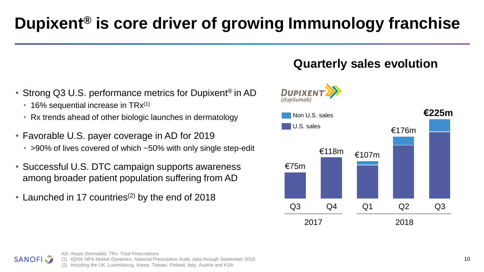# **Dupixent® is core driver of growing Immunology franchise**

- Strong Q3 U.S. performance metrics for Dupixent<sup>®</sup> in AD
	- 16% sequential increase in  $TRx^{(1)}$

**SANOFI** 

- Rx trends ahead of other biologic launches in dermatology
- Favorable U.S. payer coverage in AD for 2019 • >90% of lives covered of which ~50% with only single step-edit
- Successful U.S. DTC campaign supports awareness among broader patient population suffering from AD
- Launched in 17 countries<sup>(2)</sup> by the end of 2018



**Quarterly sales evolution**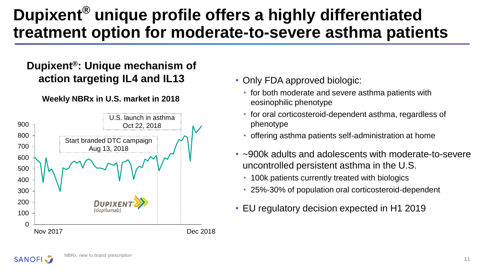## **Dupixent® unique profile offers a highly differentiated treatment option for moderate-to-severe asthma patients**

#### **Dupixent®: Unique mechanism of action targeting IL4 and IL13**

#### **Weekly NBRx in U.S. market in 2018**



- Only FDA approved biologic:
	- for both moderate and severe asthma patients with eosinophilic phenotype
	- for oral corticosteroid-dependent asthma, regardless of phenotype
	- offering asthma patients self-administration at home
- ~900k adults and adolescents with moderate-to-severe uncontrolled persistent asthma in the U.S.
	- 100k patients currently treated with biologics
	- 25%-30% of population oral corticosteroid-dependent
- EU regulatory decision expected in H1 2019

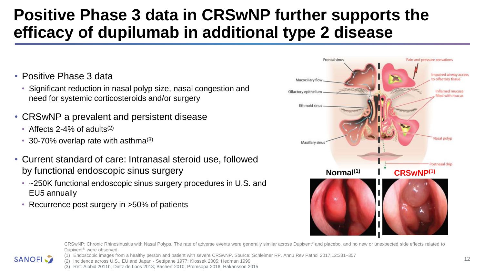## **Positive Phase 3 data in CRSwNP further supports the efficacy of dupilumab in additional type 2 disease**

- Positive Phase 3 data
	- Significant reduction in nasal polyp size, nasal congestion and need for systemic corticosteroids and/or surgery
- CRSwNP a prevalent and persistent disease
	- Affects  $2-4\%$  of adults<sup>(2)</sup>
	- 30-70% overlap rate with asthma $(3)$
- Current standard of care: Intranasal steroid use, followed by functional endoscopic sinus surgery
	- ~250K functional endoscopic sinus surgery procedures in U.S. and EU5 annually
	- Recurrence post surgery in >50% of patients



CRSwNP: Chronic Rhinosinusitis with Nasal Polyps. The rate of adverse events were generally similar across Dupixent® and placebo, and no new or unexpected side effects related to Dupixent® were observed.

(1) Endoscopic images from a healthy person and patient with severe CRSwNP. Source: Schleimer RP. Annu Rev Pathol 2017;12:331–357 **SANOFI** 

(2) Incidence across U.S., EU and Japan - Settipane 1977; Klossek 2005; Hedman 1999

(3) Ref: Alobid 2011b; Dietz de Loos 2013; Bachert 2010; Promsopa 2016; Hakansson 2015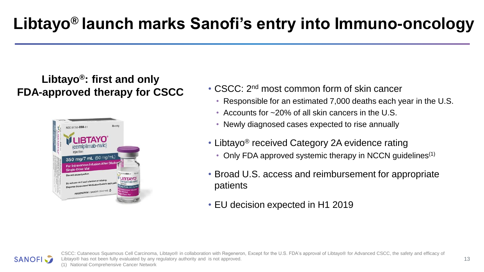#### **Libtayo®: first and only FDA-approved therapy for CSCC**



- CSCC: 2<sup>nd</sup> most common form of skin cancer
	- Responsible for an estimated 7,000 deaths each year in the U.S.
	- Accounts for ~20% of all skin cancers in the U.S.
	- Newly diagnosed cases expected to rise annually
- Libtayo® received Category 2A evidence rating
	- Only FDA approved systemic therapy in NCCN quidelines<sup>(1)</sup>
- Broad U.S. access and reimbursement for appropriate patients
- EU decision expected in H1 2019



CSCC: Cutaneous Squamous Cell Carcinoma, Libtayo® in collaboration with Regeneron, Except for the U.S. FDA's approval of Libtayo® for Advanced CSCC, the safety and efficacy of Libtayo® has not been fully evaluated by any regulatory authority and is not approved. (1) National Comprehensive Cancer Network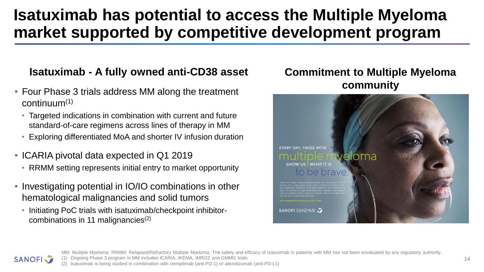## **Isatuximab has potential to access the Multiple Myeloma market supported by competitive development program**

#### **Isatuximab - A fully owned anti-CD38 asset**

- Four Phase 3 trials address MM along the treatment  $continuum<sup>(1)</sup>$ 
	- Targeted indications in combination with current and future standard-of-care regimens across lines of therapy in MM
	- Exploring differentiated MoA and shorter IV infusion duration
- ICARIA pivotal data expected in Q1 2019
	- RRMM setting represents initial entry to market opportunity
- Investigating potential in IO/IO combinations in other hematological malignancies and solid tumors
	- Initiating PoC trials with isatuximab/checkpoint inhibitorcombinations in 11 malignancies(2)

#### **Commitment to Multiple Myeloma community**





MM: Mulitple Myeloma; RRMM: Relapsed/Refractory Multiple Myeloma; The safety and efficacy of isatuximab in pateints with MM has not been evvaluated by any regulatory authority.

(1) Ongoing Phase 3 program in MM includes ICARIA, IKEMA, IMROZ and GMMG trials

(2) Isatuximab is being studied in combination with cemiplimab (anti-PD-1) or atezolizumab (anti-PD-L1)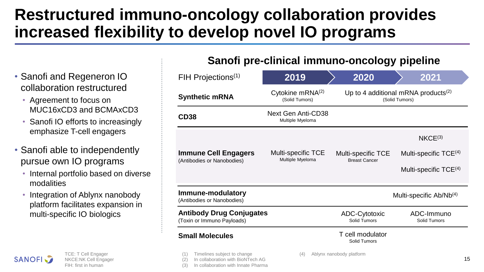## **Restructured immuno-oncology collaboration provides increased flexibility to develop novel IO programs**

In collaboration with Innate Pharma

#### **Sanofi pre-clinical immuno-oncology pipeline**

- Timelines subject to change In collaboration with BioNTech AG (4) Ablynx nanobody platform FIH Projections(1) **2019 2020 2021 Synthetic mRNA CD38 Immune Cell Engagers** (Antibodies or Nanobodies) **Immune-modulatory** (Antibodies or Nanobodies) **Antibody Drug Conjugates** (Toxin or Immuno Payloads) **Small Molecules** Next Gen Anti-CD38 Multiple Myeloma  $NKCE<sup>(3)</sup>$ ADC-Cytotoxic Solid Tumors Cytokine mRNA(2) (Solid Tumors) Multi-specific TCE Multiple Myeloma ADC-Immuno Solid Tumors Multi-specific TCE Breast Cancer Multi-specific Ab/Nb(4) Multi-specific TCE<sup>(4)</sup> Multi-specific TCE<sup>(4)</sup> T cell modulator Solid Tumors Up to 4 additional mRNA products $(2)$ (Solid Tumors)
- Sanofi and Regeneron IO collaboration restructured
	- Agreement to focus on MUC16xCD3 and BCMAxCD3
	- Sanofi IO efforts to increasingly emphasize T-cell engagers
- Sanofi able to independently pursue own IO programs
	- Internal portfolio based on diverse modalities
	- Integration of Ablynx nanobody platform facilitates expansion in multi-specific IO biologics



TCE: T Cell Engager NKCE:NK Cell Engager FIH: first in human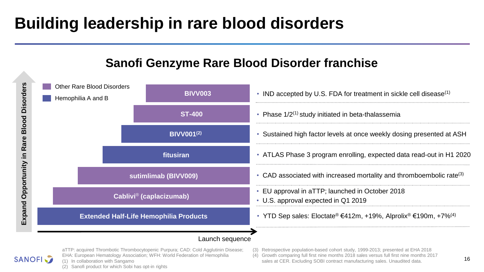## **Building leadership in rare blood disorders**

#### **Sanofi Genzyme Rare Blood Disorder franchise**



aTTP: acquired Thrombotic Thrombocytopenic Purpura; CAD: Cold Agglutinin Disease; EHA: European Hematology Association; WFH: World Federation of Hemophilia **SANOFI** (1) In collaboration with Sangamo (2) Sanofi product for which Sobi has opt-in rights

(3) Retrospective population-based cohort study, 1999-2013; presented at EHA 2018

(4) Growth comparing full first nine months 2018 sales versus full first nine months 2017 sales at CER. Excluding SOBI contract manufacturing sales. Unaudited data.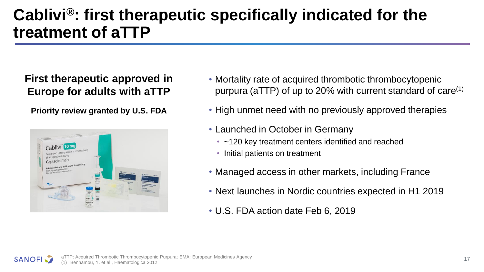## **Cablivi®: first therapeutic specifically indicated for the treatment of aTTP**

#### **First therapeutic approved in Europe for adults with aTTP**

**Priority review granted by U.S. FDA**



- Mortality rate of acquired thrombotic thrombocytopenic purpura (aTTP) of up to 20% with current standard of care(1)
- High unmet need with no previously approved therapies
- Launched in October in Germany
	- ~120 key treatment centers identified and reached
	- Initial patients on treatment
- Managed access in other markets, including France
- Next launches in Nordic countries expected in H1 2019
- U.S. FDA action date Feb 6, 2019

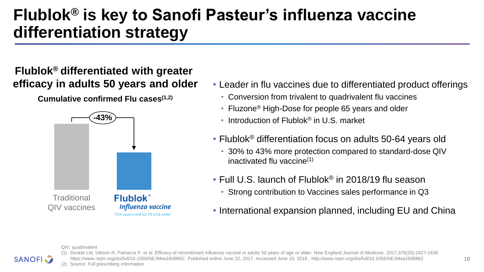## **Flublok® is key to Sanofi Pasteur's influenza vaccine differentiation strategy**

#### **Flublok® differentiated with greater efficacy in adults 50 years and older**

**Cumulative confirmed Flu cases(1,2)**



- Leader in flu vaccines due to differentiated product offerings
	- Conversion from trivalent to quadrivalent flu vaccines
	- Fluzone<sup>®</sup> High-Dose for people 65 years and older
	- Introduction of Flublok<sup>®</sup> in U.S. market
- Flublok® differentiation focus on adults 50-64 years old
	- 30% to 43% more protection compared to standard-dose QIV inactivated flu vaccine(1)
- Full U.S. launch of Flublok® in 2018/19 flu season
	- Strong contribution to Vaccines sales performance in Q3
- International expansion planned, including EU and China

QIV: quadrivalent



(1) Dunkle LM, Izikson R, Patriarca P, et al. Efficacy of recombinant influenza vaccine in adults 50 years of age or older. New England Journal of Medicine. 2017;376(25):2427-2436. https://www.nejm.org/doi/full/10.1056/NEJMoa1608862. Published online June 22, 2017. Accessed June 15, 2018 . http://www.nejm.org/doi/full/10.1056/NEJMoa1608862 (2) Source: Full prescribing information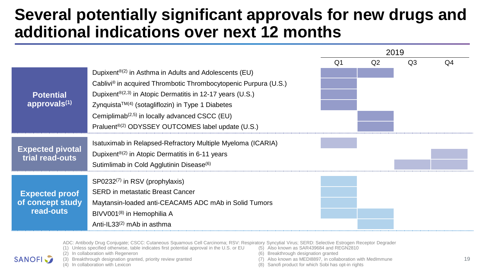### **Several potentially significant approvals for new drugs and additional indications over next 12 months**

|                         |                                                                       | 2019       |                |            |                |
|-------------------------|-----------------------------------------------------------------------|------------|----------------|------------|----------------|
|                         |                                                                       | $\Omega$ 1 | Q <sub>2</sub> | $\Omega$ 3 | O <sub>4</sub> |
|                         | Dupixent <sup>®(2)</sup> in Asthma in Adults and Adolescents (EU)     |            |                |            |                |
|                         | Cablivi® in acquired Thrombotic Thrombocytopenic Purpura (U.S.)       |            |                |            |                |
| <b>Potential</b>        | Dupixent <sup>®(2,3)</sup> in Atopic Dermatitis in 12-17 years (U.S.) |            |                |            |                |
| approvals $(1)$         | $Z$ ynquista <sup>TM(4)</sup> (sotagliflozin) in Type 1 Diabetes      |            |                |            |                |
|                         | Cemiplimab <sup>(2,5)</sup> in locally advanced CSCC (EU)             |            |                |            |                |
|                         | Praluent <sup>®(2)</sup> ODYSSEY OUTCOMES label update (U.S.)         |            |                |            |                |
|                         | Isatuximab in Relapsed-Refractory Multiple Myeloma (ICARIA)           |            |                |            |                |
| <b>Expected pivotal</b> | Dupixent <sup>®(2)</sup> in Atopic Dermatitis in 6-11 years           |            |                |            |                |
| trial read-outs         | Sutimlimab in Cold Agglutinin Disease <sup>(6)</sup>                  |            |                |            |                |
|                         |                                                                       |            |                |            |                |
|                         | SP0232 <sup>(7)</sup> in RSV (prophylaxis)                            |            |                |            |                |
| <b>Expected proof</b>   | <b>SERD</b> in metastatic Breast Cancer                               |            |                |            |                |
| of concept study        | Maytansin-loaded anti-CEACAM5 ADC mAb in Solid Tumors                 |            |                |            |                |
| read-outs               | BIVV001 <sup>(8)</sup> in Hemophilia A                                |            |                |            |                |
|                         | Anti-IL33 $(2)$ mAb in asthma                                         |            |                |            |                |

ADC: Antibody Drug Conjugate; CSCC: Cutaneous Squamous Cell Carcinoma; RSV: Respiratory Syncytial Virus; SERD: Selective Estrogen Receptor Degrader

(1) Unless specified otherwise, table indicates first potential approval in the U.S. or EU

(2) In collaboration with Regeneron



- (3) Breakthrough designation granted, priority review granted
- (4) In collaboration with Lexicon
- (5) Also known as SAR439684 and REGN2810
- (6) Breakthrough designation granted
- (7) Also known as MEDI8897, in collaboration with MedImmune
- (8) Sanofi product for which Sobi has opt-in rights